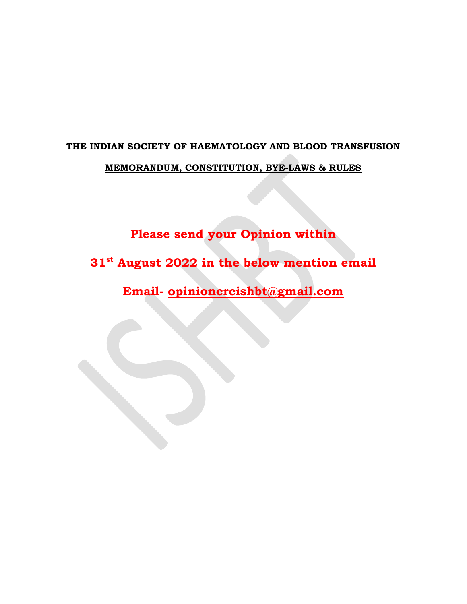# THE INDIAN SOCIETY OF HAEMATOLOGY AND BLOOD TRANSFUSION MEMORANDUM, CONSTITUTION, BYE-LAWS & RULES

Please send your Opinion within

31<sup>st</sup> August 2022 in the below mention email

Email- opinioncrcishbt@gmail.com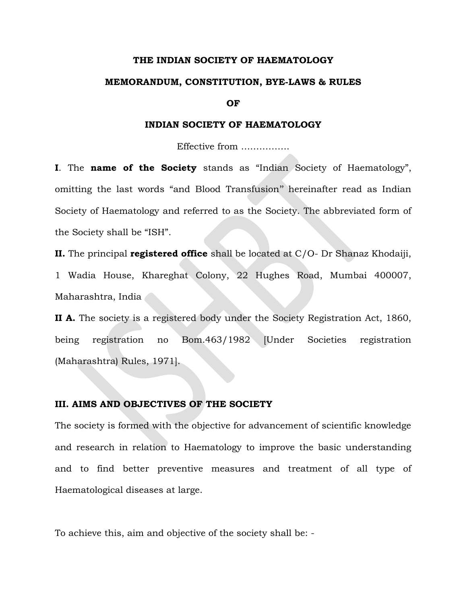#### THE INDIAN SOCIETY OF HAEMATOLOGY

#### MEMORANDUM, CONSTITUTION, BYE-LAWS & RULES

OF

#### INDIAN SOCIETY OF HAEMATOLOGY

Effective from …………….

I. The name of the Society stands as "Indian Society of Haematology", omitting the last words "and Blood Transfusion'' hereinafter read as Indian Society of Haematology and referred to as the Society. The abbreviated form of the Society shall be "ISH".

II. The principal registered office shall be located at  $C/O-Dr$  Shanaz Khodaiji, 1 Wadia House, Khareghat Colony, 22 Hughes Road, Mumbai 400007, Maharashtra, India

II A. The society is a registered body under the Society Registration Act, 1860, being registration no Bom.463/1982 [Under Societies registration (Maharashtra) Rules, 1971].

#### III. AIMS AND OBJECTIVES OF THE SOCIETY

The society is formed with the objective for advancement of scientific knowledge and research in relation to Haematology to improve the basic understanding and to find better preventive measures and treatment of all type of Haematological diseases at large.

To achieve this, aim and objective of the society shall be: -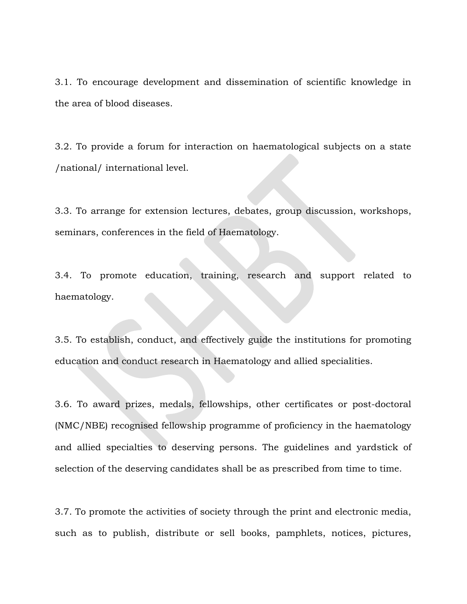3.1. To encourage development and dissemination of scientific knowledge in the area of blood diseases.

3.2. To provide a forum for interaction on haematological subjects on a state /national/ international level.

3.3. To arrange for extension lectures, debates, group discussion, workshops, seminars, conferences in the field of Haematology.

3.4. To promote education, training, research and support related to haematology.

3.5. To establish, conduct, and effectively guide the institutions for promoting education and conduct research in Haematology and allied specialities.

3.6. To award prizes, medals, fellowships, other certificates or post-doctoral (NMC/NBE) recognised fellowship programme of proficiency in the haematology and allied specialties to deserving persons. The guidelines and yardstick of selection of the deserving candidates shall be as prescribed from time to time.

3.7. To promote the activities of society through the print and electronic media, such as to publish, distribute or sell books, pamphlets, notices, pictures,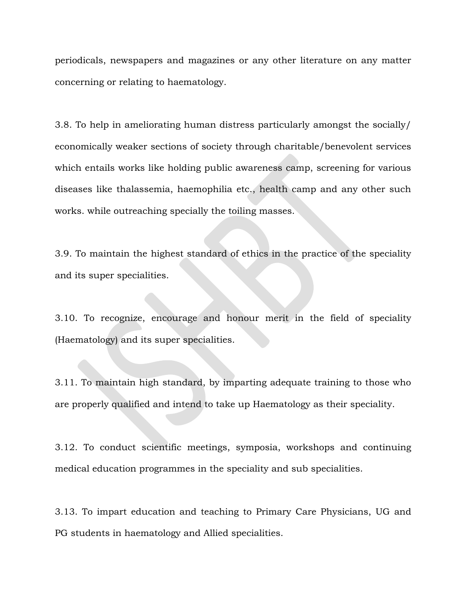periodicals, newspapers and magazines or any other literature on any matter concerning or relating to haematology.

3.8. To help in ameliorating human distress particularly amongst the socially/ economically weaker sections of society through charitable/benevolent services which entails works like holding public awareness camp, screening for various diseases like thalassemia, haemophilia etc., health camp and any other such works. while outreaching specially the toiling masses.

3.9. To maintain the highest standard of ethics in the practice of the speciality and its super specialities.

3.10. To recognize, encourage and honour merit in the field of speciality (Haematology) and its super specialities.

3.11. To maintain high standard, by imparting adequate training to those who are properly qualified and intend to take up Haematology as their speciality.

3.12. To conduct scientific meetings, symposia, workshops and continuing medical education programmes in the speciality and sub specialities.

3.13. To impart education and teaching to Primary Care Physicians, UG and PG students in haematology and Allied specialities.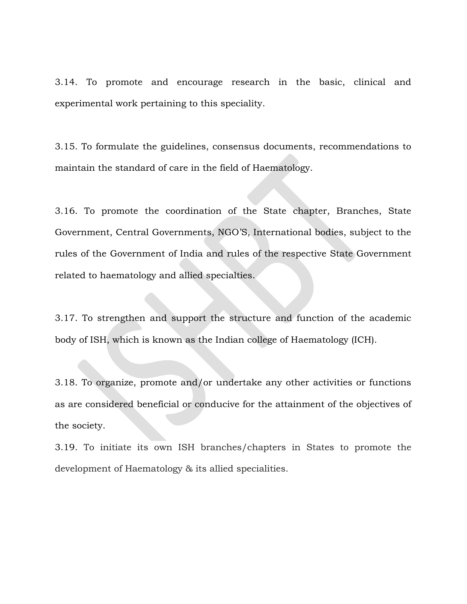3.14. To promote and encourage research in the basic, clinical and experimental work pertaining to this speciality.

3.15. To formulate the guidelines, consensus documents, recommendations to maintain the standard of care in the field of Haematology.

3.16. To promote the coordination of the State chapter, Branches, State Government, Central Governments, NGO'S, International bodies, subject to the rules of the Government of India and rules of the respective State Government related to haematology and allied specialties.

3.17. To strengthen and support the structure and function of the academic body of ISH, which is known as the Indian college of Haematology (ICH).

3.18. To organize, promote and/or undertake any other activities or functions as are considered beneficial or conducive for the attainment of the objectives of the society.

3.19. To initiate its own ISH branches/chapters in States to promote the development of Haematology & its allied specialities.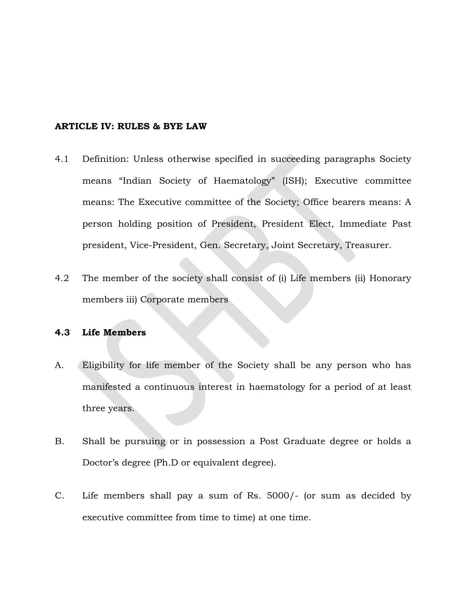#### ARTICLE IV: RULES & BYE LAW

- 4.1 Definition: Unless otherwise specified in succeeding paragraphs Society means "Indian Society of Haematology" (ISH); Executive committee means: The Executive committee of the Society; Office bearers means: A person holding position of President, President Elect, Immediate Past president, Vice-President, Gen. Secretary, Joint Secretary, Treasurer.
- 4.2 The member of the society shall consist of (i) Life members (ii) Honorary members iii) Corporate members

### 4.3 Life Members

- A. Eligibility for life member of the Society shall be any person who has manifested a continuous interest in haematology for a period of at least three years.
- B. Shall be pursuing or in possession a Post Graduate degree or holds a Doctor's degree (Ph.D or equivalent degree).
- C. Life members shall pay a sum of Rs. 5000/- (or sum as decided by executive committee from time to time) at one time.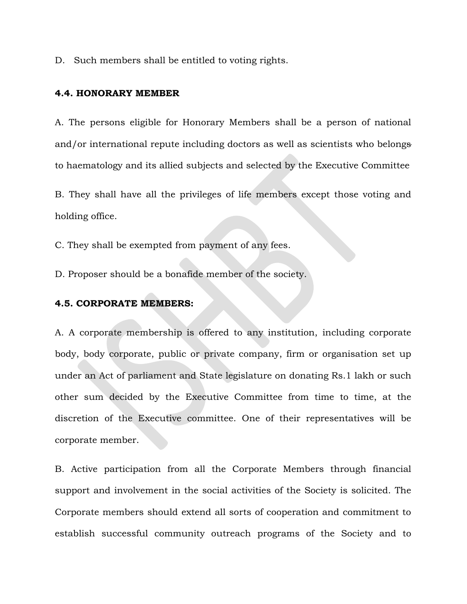D. Such members shall be entitled to voting rights.

#### 4.4. HONORARY MEMBER

A. The persons eligible for Honorary Members shall be a person of national and/or international repute including doctors as well as scientists who belongs to haematology and its allied subjects and selected by the Executive Committee

B. They shall have all the privileges of life members except those voting and holding office.

C. They shall be exempted from payment of any fees.

D. Proposer should be a bonafide member of the society.

#### 4.5. CORPORATE MEMBERS:

A. A corporate membership is offered to any institution, including corporate body, body corporate, public or private company, firm or organisation set up under an Act of parliament and State legislature on donating Rs.1 lakh or such other sum decided by the Executive Committee from time to time, at the discretion of the Executive committee. One of their representatives will be corporate member.

B. Active participation from all the Corporate Members through financial support and involvement in the social activities of the Society is solicited. The Corporate members should extend all sorts of cooperation and commitment to establish successful community outreach programs of the Society and to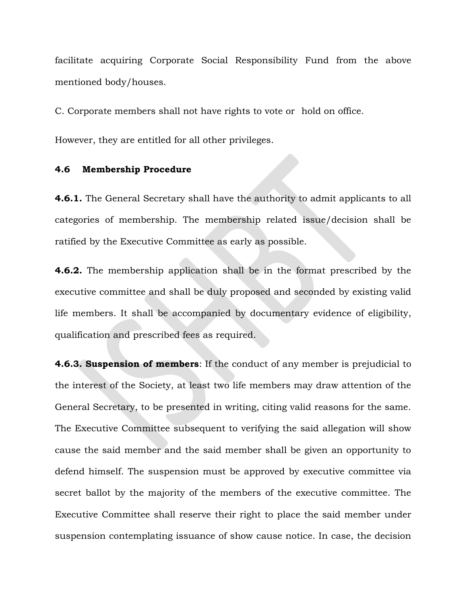facilitate acquiring Corporate Social Responsibility Fund from the above mentioned body/houses.

C. Corporate members shall not have rights to vote or hold on office.

However, they are entitled for all other privileges.

### 4.6 Membership Procedure

4.6.1. The General Secretary shall have the authority to admit applicants to all categories of membership. The membership related issue/decision shall be ratified by the Executive Committee as early as possible.

**4.6.2.** The membership application shall be in the format prescribed by the executive committee and shall be duly proposed and seconded by existing valid life members. It shall be accompanied by documentary evidence of eligibility, qualification and prescribed fees as required.

**4.6.3. Suspension of members**: If the conduct of any member is prejudicial to the interest of the Society, at least two life members may draw attention of the General Secretary, to be presented in writing, citing valid reasons for the same. The Executive Committee subsequent to verifying the said allegation will show cause the said member and the said member shall be given an opportunity to defend himself. The suspension must be approved by executive committee via secret ballot by the majority of the members of the executive committee. The Executive Committee shall reserve their right to place the said member under suspension contemplating issuance of show cause notice. In case, the decision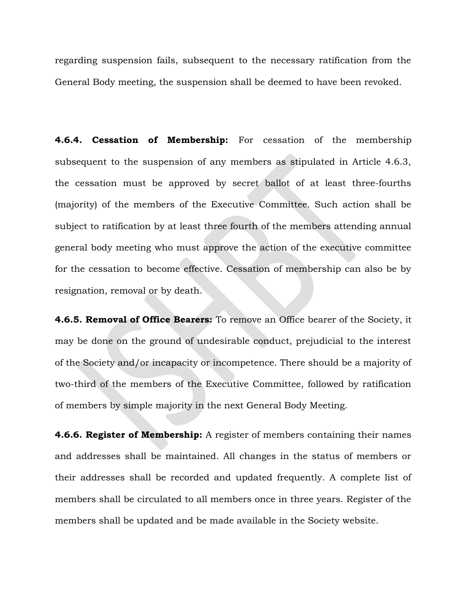regarding suspension fails, subsequent to the necessary ratification from the General Body meeting, the suspension shall be deemed to have been revoked.

4.6.4. Cessation of Membership: For cessation of the membership subsequent to the suspension of any members as stipulated in Article 4.6.3, the cessation must be approved by secret ballot of at least three-fourths (majority) of the members of the Executive Committee. Such action shall be subject to ratification by at least three fourth of the members attending annual general body meeting who must approve the action of the executive committee for the cessation to become effective. Cessation of membership can also be by resignation, removal or by death.

4.6.5. Removal of Office Bearers: To remove an Office bearer of the Society, it may be done on the ground of undesirable conduct, prejudicial to the interest of the Society and/or incapacity or incompetence. There should be a majority of two-third of the members of the Executive Committee, followed by ratification of members by simple majority in the next General Body Meeting.

**4.6.6. Register of Membership:** A register of members containing their names and addresses shall be maintained. All changes in the status of members or their addresses shall be recorded and updated frequently. A complete list of members shall be circulated to all members once in three years. Register of the members shall be updated and be made available in the Society website.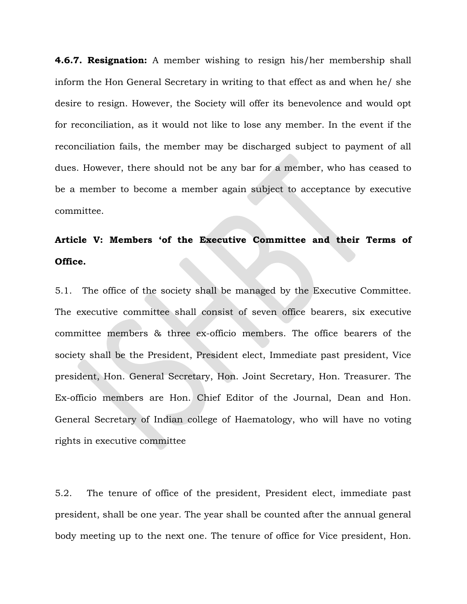**4.6.7. Resignation:** A member wishing to resign his/her membership shall inform the Hon General Secretary in writing to that effect as and when he/ she desire to resign. However, the Society will offer its benevolence and would opt for reconciliation, as it would not like to lose any member. In the event if the reconciliation fails, the member may be discharged subject to payment of all dues. However, there should not be any bar for a member, who has ceased to be a member to become a member again subject to acceptance by executive committee.

# Article V: Members 'of the Executive Committee and their Terms of Office.

5.1. The office of the society shall be managed by the Executive Committee. The executive committee shall consist of seven office bearers, six executive committee members & three ex-officio members. The office bearers of the society shall be the President, President elect, Immediate past president, Vice president, Hon. General Secretary, Hon. Joint Secretary, Hon. Treasurer. The Ex-officio members are Hon. Chief Editor of the Journal, Dean and Hon. General Secretary of Indian college of Haematology, who will have no voting rights in executive committee

5.2. The tenure of office of the president, President elect, immediate past president, shall be one year. The year shall be counted after the annual general body meeting up to the next one. The tenure of office for Vice president, Hon.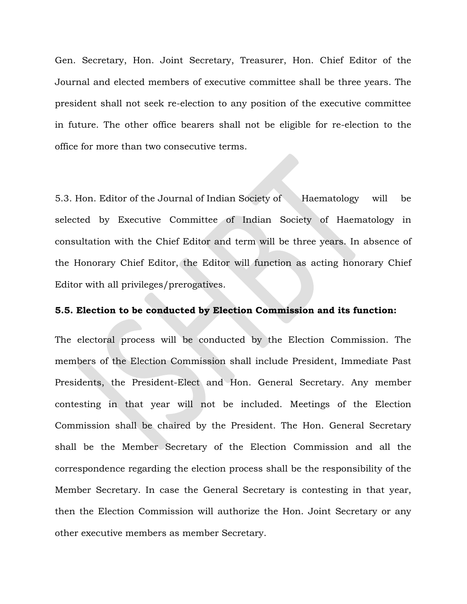Gen. Secretary, Hon. Joint Secretary, Treasurer, Hon. Chief Editor of the Journal and elected members of executive committee shall be three years. The president shall not seek re-election to any position of the executive committee in future. The other office bearers shall not be eligible for re-election to the office for more than two consecutive terms.

5.3. Hon. Editor of the Journal of Indian Society of Haematology will be selected by Executive Committee of Indian Society of Haematology in consultation with the Chief Editor and term will be three years. In absence of the Honorary Chief Editor, the Editor will function as acting honorary Chief Editor with all privileges/prerogatives.

#### 5.5. Election to be conducted by Election Commission and its function:

The electoral process will be conducted by the Election Commission. The members of the Election Commission shall include President, Immediate Past Presidents, the President-Elect and Hon. General Secretary. Any member contesting in that year will not be included. Meetings of the Election Commission shall be chaired by the President. The Hon. General Secretary shall be the Member Secretary of the Election Commission and all the correspondence regarding the election process shall be the responsibility of the Member Secretary. In case the General Secretary is contesting in that year, then the Election Commission will authorize the Hon. Joint Secretary or any other executive members as member Secretary.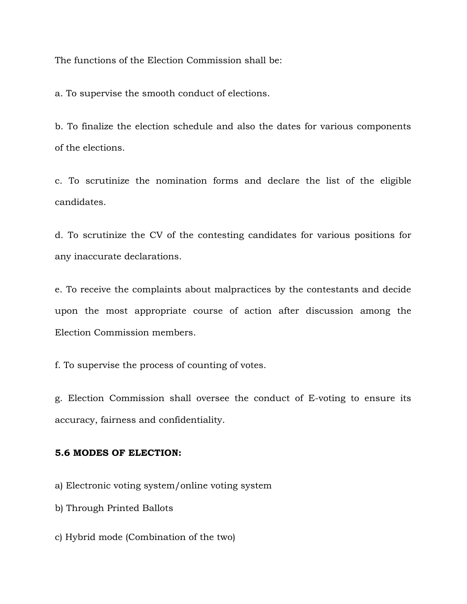The functions of the Election Commission shall be:

a. To supervise the smooth conduct of elections.

b. To finalize the election schedule and also the dates for various components of the elections.

c. To scrutinize the nomination forms and declare the list of the eligible candidates.

d. To scrutinize the CV of the contesting candidates for various positions for any inaccurate declarations.

e. To receive the complaints about malpractices by the contestants and decide upon the most appropriate course of action after discussion among the Election Commission members.

f. To supervise the process of counting of votes.

g. Election Commission shall oversee the conduct of E-voting to ensure its accuracy, fairness and confidentiality.

### 5.6 MODES OF ELECTION:

a) Electronic voting system/online voting system

b) Through Printed Ballots

c) Hybrid mode (Combination of the two)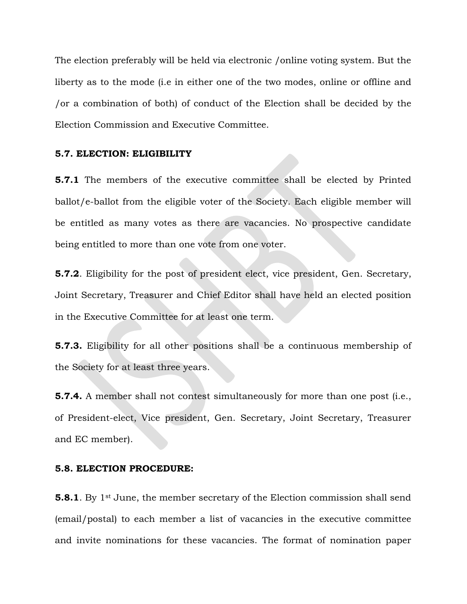The election preferably will be held via electronic /online voting system. But the liberty as to the mode (i.e in either one of the two modes, online or offline and /or a combination of both) of conduct of the Election shall be decided by the Election Commission and Executive Committee.

#### 5.7. ELECTION: ELIGIBILITY

**5.7.1** The members of the executive committee shall be elected by Printed ballot/e-ballot from the eligible voter of the Society. Each eligible member will be entitled as many votes as there are vacancies. No prospective candidate being entitled to more than one vote from one voter.

5.7.2. Eligibility for the post of president elect, vice president, Gen. Secretary, Joint Secretary, Treasurer and Chief Editor shall have held an elected position in the Executive Committee for at least one term.

5.7.3. Eligibility for all other positions shall be a continuous membership of the Society for at least three years.

**5.7.4.** A member shall not contest simultaneously for more than one post (i.e., of President-elect, Vice president, Gen. Secretary, Joint Secretary, Treasurer and EC member).

#### 5.8. ELECTION PROCEDURE:

**5.8.1**. By 1<sup>st</sup> June, the member secretary of the Election commission shall send (email/postal) to each member a list of vacancies in the executive committee and invite nominations for these vacancies. The format of nomination paper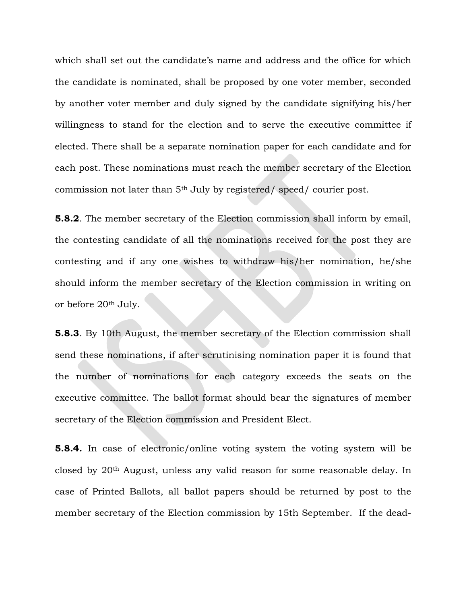which shall set out the candidate's name and address and the office for which the candidate is nominated, shall be proposed by one voter member, seconded by another voter member and duly signed by the candidate signifying his/her willingness to stand for the election and to serve the executive committee if elected. There shall be a separate nomination paper for each candidate and for each post. These nominations must reach the member secretary of the Election commission not later than 5th July by registered/ speed/ courier post.

5.8.2. The member secretary of the Election commission shall inform by email, the contesting candidate of all the nominations received for the post they are contesting and if any one wishes to withdraw his/her nomination, he/she should inform the member secretary of the Election commission in writing on or before 20th July.

5.8.3. By 10th August, the member secretary of the Election commission shall send these nominations, if after scrutinising nomination paper it is found that the number of nominations for each category exceeds the seats on the executive committee. The ballot format should bear the signatures of member secretary of the Election commission and President Elect.

5.8.4. In case of electronic/online voting system the voting system will be closed by 20th August, unless any valid reason for some reasonable delay. In case of Printed Ballots, all ballot papers should be returned by post to the member secretary of the Election commission by 15th September. If the dead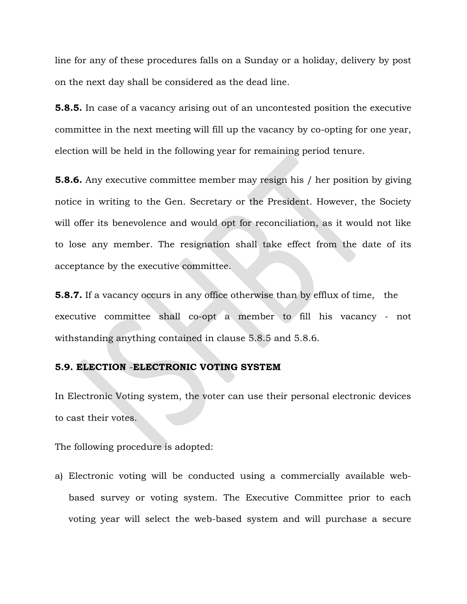line for any of these procedures falls on a Sunday or a holiday, delivery by post on the next day shall be considered as the dead line.

**5.8.5.** In case of a vacancy arising out of an uncontested position the executive committee in the next meeting will fill up the vacancy by co-opting for one year, election will be held in the following year for remaining period tenure.

5.8.6. Any executive committee member may resign his / her position by giving notice in writing to the Gen. Secretary or the President. However, the Society will offer its benevolence and would opt for reconciliation, as it would not like to lose any member. The resignation shall take effect from the date of its acceptance by the executive committee.

**5.8.7.** If a vacancy occurs in any office otherwise than by efflux of time, the executive committee shall co-opt a member to fill his vacancy - not withstanding anything contained in clause 5.8.5 and 5.8.6.

### 5.9. ELECTION -ELECTRONIC VOTING SYSTEM

In Electronic Voting system, the voter can use their personal electronic devices to cast their votes.

The following procedure is adopted:

a) Electronic voting will be conducted using a commercially available webbased survey or voting system. The Executive Committee prior to each voting year will select the web-based system and will purchase a secure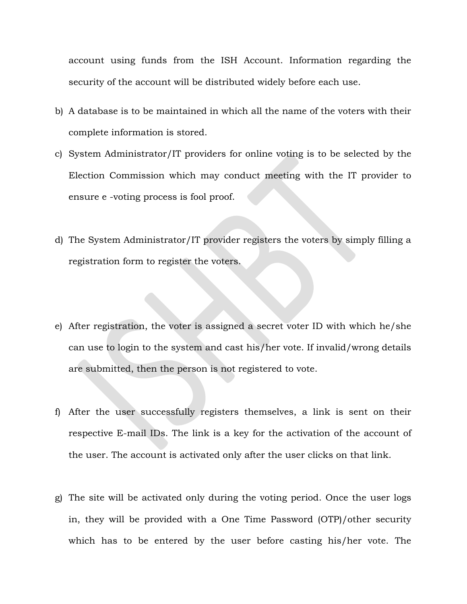account using funds from the ISH Account. Information regarding the security of the account will be distributed widely before each use.

- b) A database is to be maintained in which all the name of the voters with their complete information is stored.
- c) System Administrator/IT providers for online voting is to be selected by the Election Commission which may conduct meeting with the IT provider to ensure e -voting process is fool proof.
- d) The System Administrator/IT provider registers the voters by simply filling a registration form to register the voters.
- e) After registration, the voter is assigned a secret voter ID with which he/she can use to login to the system and cast his/her vote. If invalid/wrong details are submitted, then the person is not registered to vote.
- f) After the user successfully registers themselves, a link is sent on their respective E-mail IDs. The link is a key for the activation of the account of the user. The account is activated only after the user clicks on that link.
- g) The site will be activated only during the voting period. Once the user logs in, they will be provided with a One Time Password (OTP)/other security which has to be entered by the user before casting his/her vote. The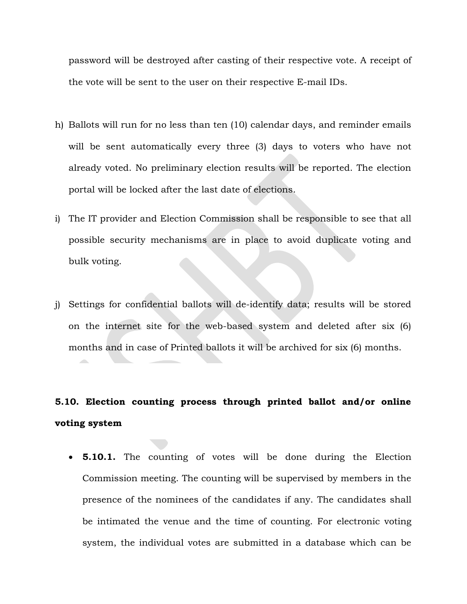password will be destroyed after casting of their respective vote. A receipt of the vote will be sent to the user on their respective E-mail IDs.

- h) Ballots will run for no less than ten (10) calendar days, and reminder emails will be sent automatically every three (3) days to voters who have not already voted. No preliminary election results will be reported. The election portal will be locked after the last date of elections.
- i) The IT provider and Election Commission shall be responsible to see that all possible security mechanisms are in place to avoid duplicate voting and bulk voting.
- j) Settings for confidential ballots will de-identify data; results will be stored on the internet site for the web-based system and deleted after six (6) months and in case of Printed ballots it will be archived for six (6) months.

# 5.10. Election counting process through printed ballot and/or online voting system

• **5.10.1.** The counting of votes will be done during the Election Commission meeting. The counting will be supervised by members in the presence of the nominees of the candidates if any. The candidates shall be intimated the venue and the time of counting. For electronic voting system, the individual votes are submitted in a database which can be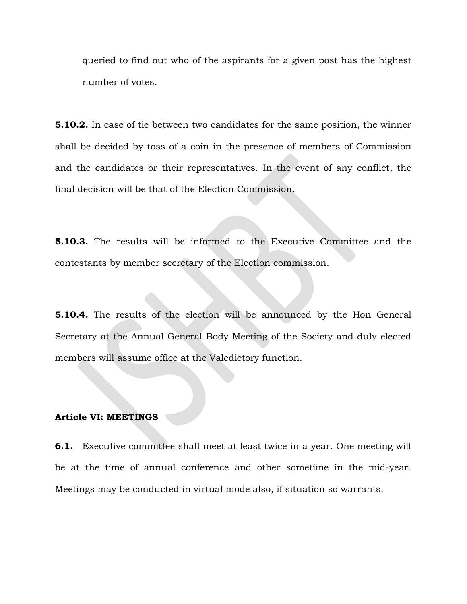queried to find out who of the aspirants for a given post has the highest number of votes.

**5.10.2.** In case of tie between two candidates for the same position, the winner shall be decided by toss of a coin in the presence of members of Commission and the candidates or their representatives. In the event of any conflict, the final decision will be that of the Election Commission.

5.10.3. The results will be informed to the Executive Committee and the contestants by member secretary of the Election commission.

5.10.4. The results of the election will be announced by the Hon General Secretary at the Annual General Body Meeting of the Society and duly elected members will assume office at the Valedictory function.

### Article VI: MEETINGS

6.1. Executive committee shall meet at least twice in a year. One meeting will be at the time of annual conference and other sometime in the mid-year. Meetings may be conducted in virtual mode also, if situation so warrants.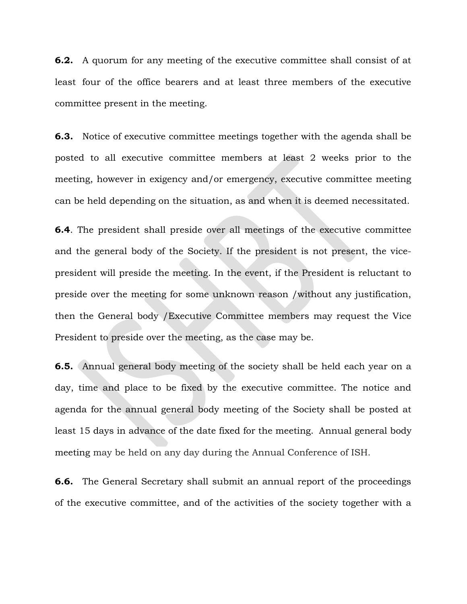6.2. A quorum for any meeting of the executive committee shall consist of at least four of the office bearers and at least three members of the executive committee present in the meeting.

6.3. Notice of executive committee meetings together with the agenda shall be posted to all executive committee members at least 2 weeks prior to the meeting, however in exigency and/or emergency, executive committee meeting can be held depending on the situation, as and when it is deemed necessitated.

6.4. The president shall preside over all meetings of the executive committee and the general body of the Society. If the president is not present, the vicepresident will preside the meeting. In the event, if the President is reluctant to preside over the meeting for some unknown reason /without any justification, then the General body /Executive Committee members may request the Vice President to preside over the meeting, as the case may be.

6.5. Annual general body meeting of the society shall be held each year on a day, time and place to be fixed by the executive committee. The notice and agenda for the annual general body meeting of the Society shall be posted at least 15 days in advance of the date fixed for the meeting. Annual general body meeting may be held on any day during the Annual Conference of ISH.

**6.6.** The General Secretary shall submit an annual report of the proceedings of the executive committee, and of the activities of the society together with a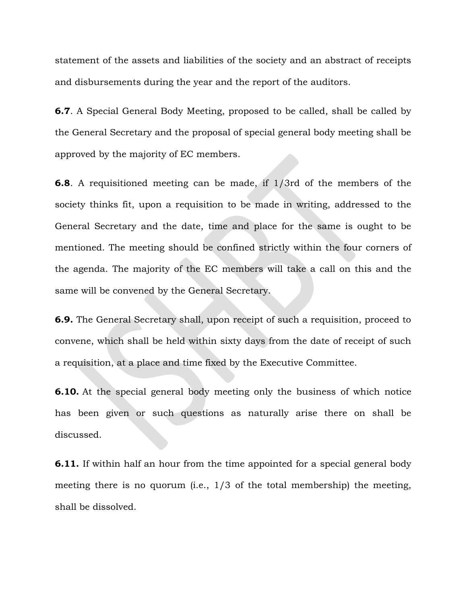statement of the assets and liabilities of the society and an abstract of receipts and disbursements during the year and the report of the auditors.

6.7. A Special General Body Meeting, proposed to be called, shall be called by the General Secretary and the proposal of special general body meeting shall be approved by the majority of EC members.

6.8. A requisitioned meeting can be made, if 1/3rd of the members of the society thinks fit, upon a requisition to be made in writing, addressed to the General Secretary and the date, time and place for the same is ought to be mentioned. The meeting should be confined strictly within the four corners of the agenda. The majority of the EC members will take a call on this and the same will be convened by the General Secretary.

6.9. The General Secretary shall, upon receipt of such a requisition, proceed to convene, which shall be held within sixty days from the date of receipt of such a requisition, at a place and time fixed by the Executive Committee.

**6.10.** At the special general body meeting only the business of which notice has been given or such questions as naturally arise there on shall be discussed.

**6.11.** If within half an hour from the time appointed for a special general body meeting there is no quorum (i.e., 1/3 of the total membership) the meeting, shall be dissolved.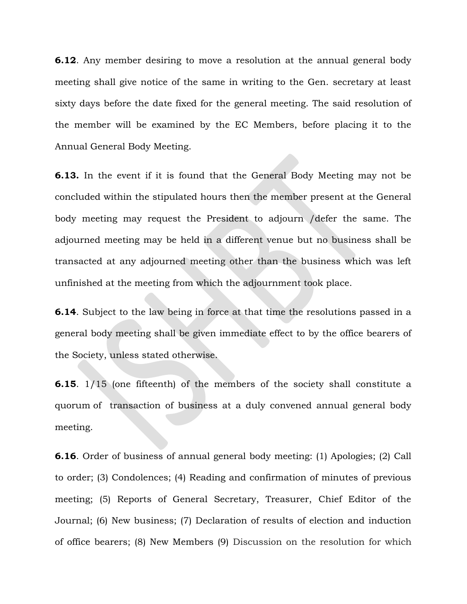**6.12.** Any member desiring to move a resolution at the annual general body meeting shall give notice of the same in writing to the Gen. secretary at least sixty days before the date fixed for the general meeting. The said resolution of the member will be examined by the EC Members, before placing it to the Annual General Body Meeting.

6.13. In the event if it is found that the General Body Meeting may not be concluded within the stipulated hours then the member present at the General body meeting may request the President to adjourn /defer the same. The adjourned meeting may be held in a different venue but no business shall be transacted at any adjourned meeting other than the business which was left unfinished at the meeting from which the adjournment took place.

6.14. Subject to the law being in force at that time the resolutions passed in a general body meeting shall be given immediate effect to by the office bearers of the Society, unless stated otherwise.

6.15. 1/15 (one fifteenth) of the members of the society shall constitute a quorum of transaction of business at a duly convened annual general body meeting.

6.16. Order of business of annual general body meeting: (1) Apologies; (2) Call to order; (3) Condolences; (4) Reading and confirmation of minutes of previous meeting; (5) Reports of General Secretary, Treasurer, Chief Editor of the Journal; (6) New business; (7) Declaration of results of election and induction of office bearers; (8) New Members (9) Discussion on the resolution for which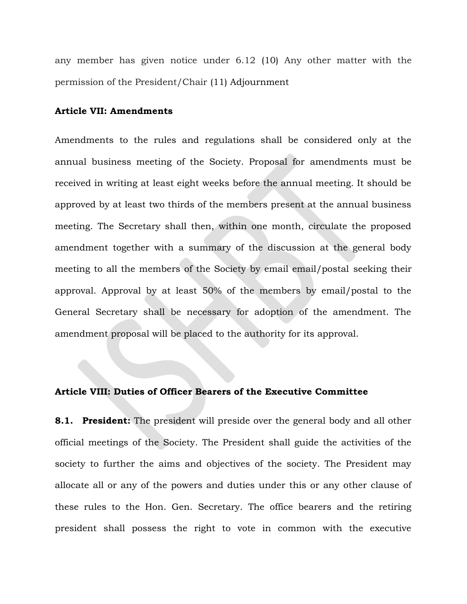any member has given notice under 6.12 (10) Any other matter with the permission of the President/Chair (11) Adjournment

#### Article VII: Amendments

Amendments to the rules and regulations shall be considered only at the annual business meeting of the Society. Proposal for amendments must be received in writing at least eight weeks before the annual meeting. It should be approved by at least two thirds of the members present at the annual business meeting. The Secretary shall then, within one month, circulate the proposed amendment together with a summary of the discussion at the general body meeting to all the members of the Society by email email/postal seeking their approval. Approval by at least 50% of the members by email/postal to the General Secretary shall be necessary for adoption of the amendment. The amendment proposal will be placed to the authority for its approval.

#### Article VIII: Duties of Officer Bearers of the Executive Committee

**8.1. President:** The president will preside over the general body and all other official meetings of the Society. The President shall guide the activities of the society to further the aims and objectives of the society. The President may allocate all or any of the powers and duties under this or any other clause of these rules to the Hon. Gen. Secretary. The office bearers and the retiring president shall possess the right to vote in common with the executive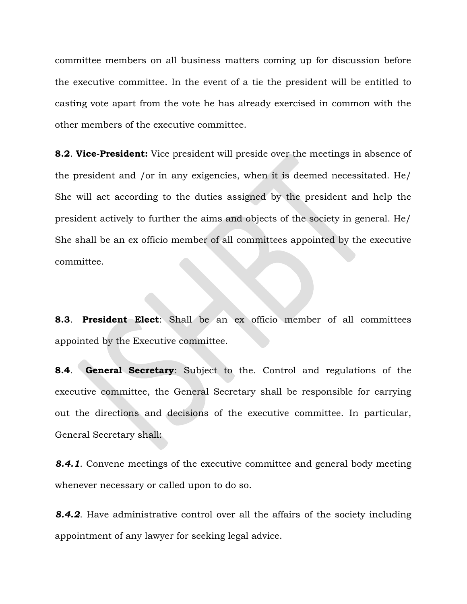committee members on all business matters coming up for discussion before the executive committee. In the event of a tie the president will be entitled to casting vote apart from the vote he has already exercised in common with the other members of the executive committee.

**8.2. Vice-President:** Vice president will preside over the meetings in absence of the president and /or in any exigencies, when it is deemed necessitated. He/ She will act according to the duties assigned by the president and help the president actively to further the aims and objects of the society in general. He/ She shall be an ex officio member of all committees appointed by the executive committee.

8.3. President Elect: Shall be an ex officio member of all committees appointed by the Executive committee.

**8.4.** General Secretary: Subject to the. Control and regulations of the executive committee, the General Secretary shall be responsible for carrying out the directions and decisions of the executive committee. In particular, General Secretary shall:

**8.4.1.** Convene meetings of the executive committee and general body meeting whenever necessary or called upon to do so.

**8.4.2.** Have administrative control over all the affairs of the society including appointment of any lawyer for seeking legal advice.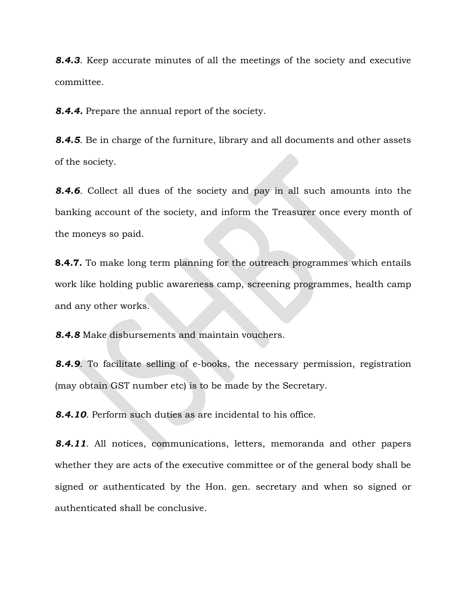8.4.3. Keep accurate minutes of all the meetings of the society and executive committee.

**8.4.4.** Prepare the annual report of the society.

8.4.5. Be in charge of the furniture, library and all documents and other assets of the society.

8.4.6. Collect all dues of the society and pay in all such amounts into the banking account of the society, and inform the Treasurer once every month of the moneys so paid.

**8.4.7.** To make long term planning for the outreach programmes which entails work like holding public awareness camp, screening programmes, health camp and any other works.

8.4.8 Make disbursements and maintain vouchers.

**8.4.9.** To facilitate selling of e-books, the necessary permission, registration (may obtain GST number etc) is to be made by the Secretary.

8.4.10. Perform such duties as are incidental to his office.

8.4.11. All notices, communications, letters, memoranda and other papers whether they are acts of the executive committee or of the general body shall be signed or authenticated by the Hon. gen. secretary and when so signed or authenticated shall be conclusive.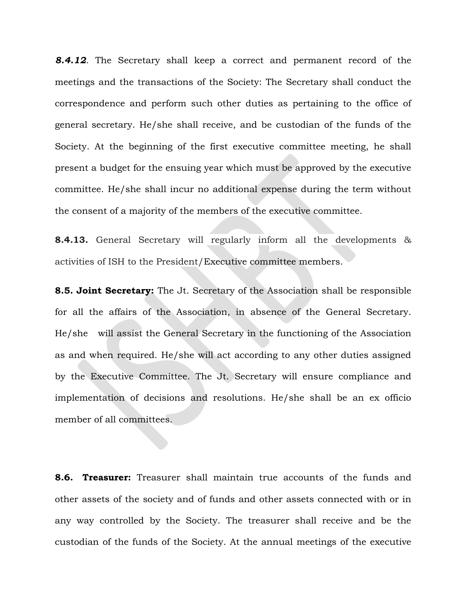**8.4.12.** The Secretary shall keep a correct and permanent record of the meetings and the transactions of the Society: The Secretary shall conduct the correspondence and perform such other duties as pertaining to the office of general secretary. He/she shall receive, and be custodian of the funds of the Society. At the beginning of the first executive committee meeting, he shall present a budget for the ensuing year which must be approved by the executive committee. He/she shall incur no additional expense during the term without the consent of a majority of the members of the executive committee.

8.4.13. General Secretary will regularly inform all the developments & activities of ISH to the President/Executive committee members.

**8.5. Joint Secretary:** The Jt. Secretary of the Association shall be responsible for all the affairs of the Association, in absence of the General Secretary. He/she will assist the General Secretary in the functioning of the Association as and when required. He/she will act according to any other duties assigned by the Executive Committee. The Jt. Secretary will ensure compliance and implementation of decisions and resolutions. He/she shall be an ex officio member of all committees.

8.6. Treasurer: Treasurer shall maintain true accounts of the funds and other assets of the society and of funds and other assets connected with or in any way controlled by the Society. The treasurer shall receive and be the custodian of the funds of the Society. At the annual meetings of the executive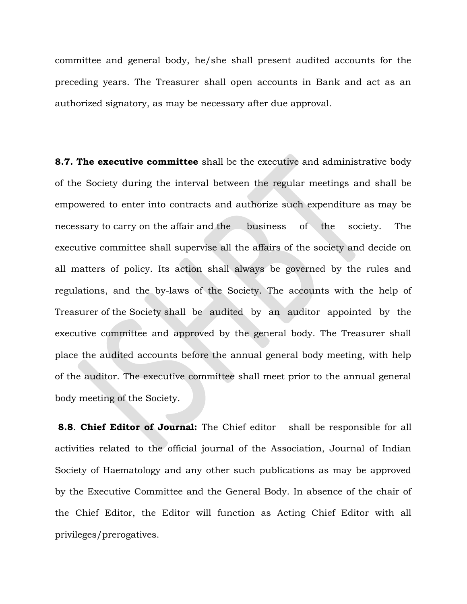committee and general body, he/she shall present audited accounts for the preceding years. The Treasurer shall open accounts in Bank and act as an authorized signatory, as may be necessary after due approval.

**8.7. The executive committee** shall be the executive and administrative body of the Society during the interval between the regular meetings and shall be empowered to enter into contracts and authorize such expenditure as may be necessary to carry on the affair and the business of the society. The executive committee shall supervise all the affairs of the society and decide on all matters of policy. Its action shall always be governed by the rules and regulations, and the by-laws of the Society. The accounts with the help of Treasurer of the Society shall be audited by an auditor appointed by the executive committee and approved by the general body. The Treasurer shall place the audited accounts before the annual general body meeting, with help of the auditor. The executive committee shall meet prior to the annual general body meeting of the Society.

**8.8. Chief Editor of Journal:** The Chief editor shall be responsible for all activities related to the official journal of the Association, Journal of Indian Society of Haematology and any other such publications as may be approved by the Executive Committee and the General Body. In absence of the chair of the Chief Editor, the Editor will function as Acting Chief Editor with all privileges/prerogatives.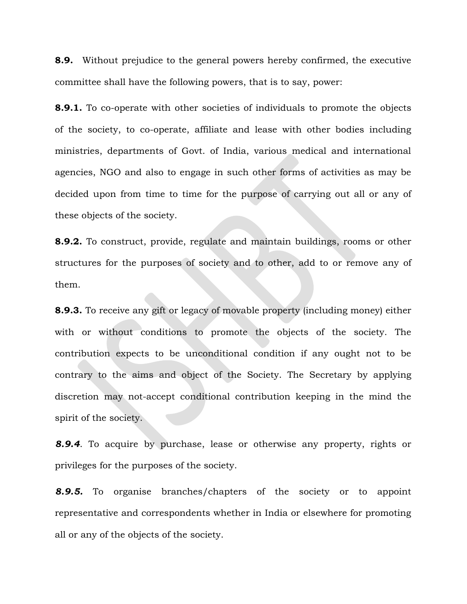**8.9.** Without prejudice to the general powers hereby confirmed, the executive committee shall have the following powers, that is to say, power:

**8.9.1.** To co-operate with other societies of individuals to promote the objects of the society, to co-operate, affiliate and lease with other bodies including ministries, departments of Govt. of India, various medical and international agencies, NGO and also to engage in such other forms of activities as may be decided upon from time to time for the purpose of carrying out all or any of these objects of the society.

8.9.2. To construct, provide, regulate and maintain buildings, rooms or other structures for the purposes of society and to other, add to or remove any of them.

8.9.3. To receive any gift or legacy of movable property (including money) either with or without conditions to promote the objects of the society. The contribution expects to be unconditional condition if any ought not to be contrary to the aims and object of the Society. The Secretary by applying discretion may not-accept conditional contribution keeping in the mind the spirit of the society.

8.9.4. To acquire by purchase, lease or otherwise any property, rights or privileges for the purposes of the society.

8.9.5. To organise branches/chapters of the society or to appoint representative and correspondents whether in India or elsewhere for promoting all or any of the objects of the society.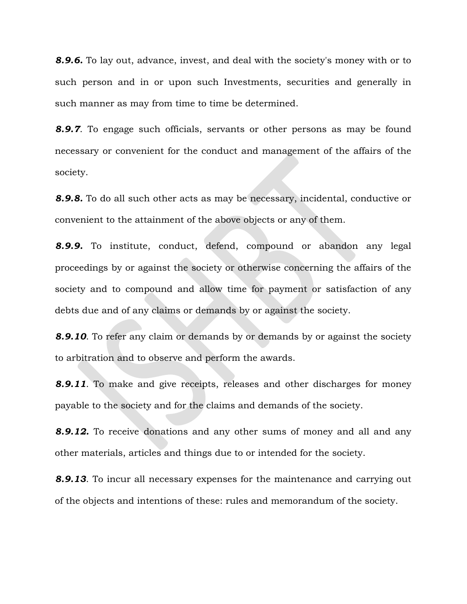**8.9.6.** To lay out, advance, invest, and deal with the society's money with or to such person and in or upon such Investments, securities and generally in such manner as may from time to time be determined.

**8.9.7.** To engage such officials, servants or other persons as may be found necessary or convenient for the conduct and management of the affairs of the society.

8.9.8. To do all such other acts as may be necessary, incidental, conductive or convenient to the attainment of the above objects or any of them.

8.9.9. To institute, conduct, defend, compound or abandon any legal proceedings by or against the society or otherwise concerning the affairs of the society and to compound and allow time for payment or satisfaction of any debts due and of any claims or demands by or against the society.

8.9.10. To refer any claim or demands by or demands by or against the society to arbitration and to observe and perform the awards.

**8.9.11.** To make and give receipts, releases and other discharges for money payable to the society and for the claims and demands of the society.

**8.9.12.** To receive donations and any other sums of money and all and any other materials, articles and things due to or intended for the society.

**8.9.13.** To incur all necessary expenses for the maintenance and carrying out of the objects and intentions of these: rules and memorandum of the society.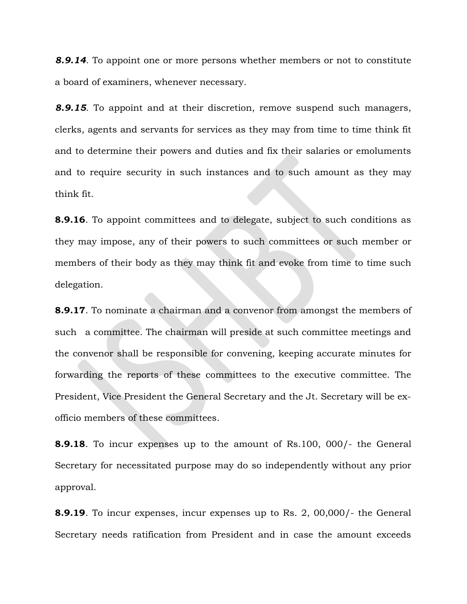**8.9.14.** To appoint one or more persons whether members or not to constitute a board of examiners, whenever necessary.

**8.9.15**. To appoint and at their discretion, remove suspend such managers, clerks, agents and servants for services as they may from time to time think fit and to determine their powers and duties and fix their salaries or emoluments and to require security in such instances and to such amount as they may think fit.

**8.9.16**. To appoint committees and to delegate, subject to such conditions as they may impose, any of their powers to such committees or such member or members of their body as they may think fit and evoke from time to time such delegation.

8.9.17. To nominate a chairman and a convenor from amongst the members of such a committee. The chairman will preside at such committee meetings and the convenor shall be responsible for convening, keeping accurate minutes for forwarding the reports of these committees to the executive committee. The President, Vice President the General Secretary and the Jt. Secretary will be exofficio members of these committees.

**8.9.18.** To incur expenses up to the amount of Rs.100, 000/- the General Secretary for necessitated purpose may do so independently without any prior approval.

**8.9.19**. To incur expenses, incur expenses up to Rs. 2, 00,000/- the General Secretary needs ratification from President and in case the amount exceeds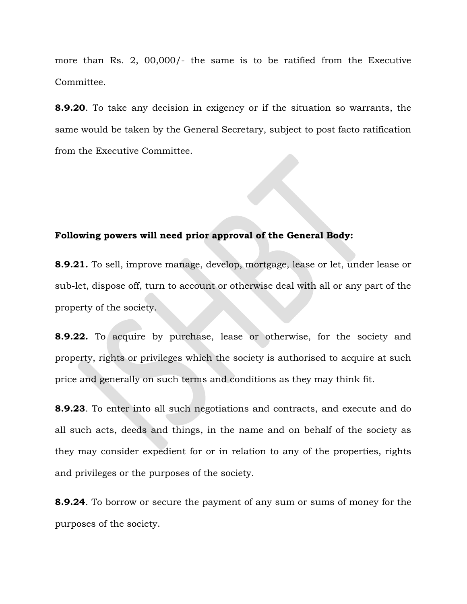more than Rs. 2, 00,000/- the same is to be ratified from the Executive Committee.

8.9.20. To take any decision in exigency or if the situation so warrants, the same would be taken by the General Secretary, subject to post facto ratification from the Executive Committee.

### Following powers will need prior approval of the General Body:

8.9.21. To sell, improve manage, develop, mortgage, lease or let, under lease or sub-let, dispose off, turn to account or otherwise deal with all or any part of the property of the society.

8.9.22. To acquire by purchase, lease or otherwise, for the society and property, rights or privileges which the society is authorised to acquire at such price and generally on such terms and conditions as they may think fit.

8.9.23. To enter into all such negotiations and contracts, and execute and do all such acts, deeds and things, in the name and on behalf of the society as they may consider expedient for or in relation to any of the properties, rights and privileges or the purposes of the society.

8.9.24. To borrow or secure the payment of any sum or sums of money for the purposes of the society.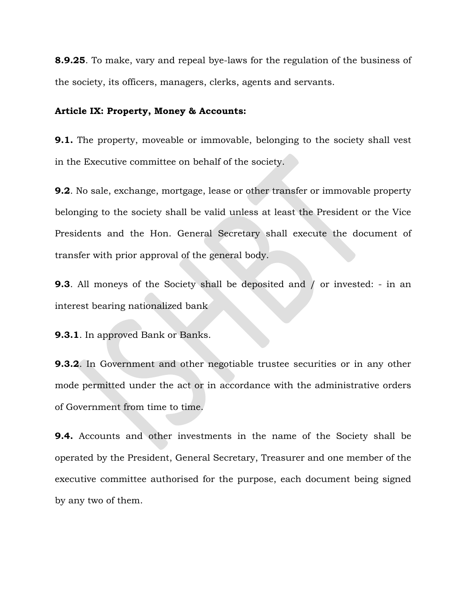**8.9.25.** To make, vary and repeal bye-laws for the regulation of the business of the society, its officers, managers, clerks, agents and servants.

#### Article IX: Property, Money & Accounts:

**9.1.** The property, moveable or immovable, belonging to the society shall vest in the Executive committee on behalf of the society.

9.2. No sale, exchange, mortgage, lease or other transfer or immovable property belonging to the society shall be valid unless at least the President or the Vice Presidents and the Hon. General Secretary shall execute the document of transfer with prior approval of the general body.

**9.3.** All moneys of the Society shall be deposited and / or invested: - in an interest bearing nationalized bank

9.3.1. In approved Bank or Banks.

**9.3.2.** In Government and other negotiable trustee securities or in any other mode permitted under the act or in accordance with the administrative orders of Government from time to time.

9.4. Accounts and other investments in the name of the Society shall be operated by the President, General Secretary, Treasurer and one member of the executive committee authorised for the purpose, each document being signed by any two of them.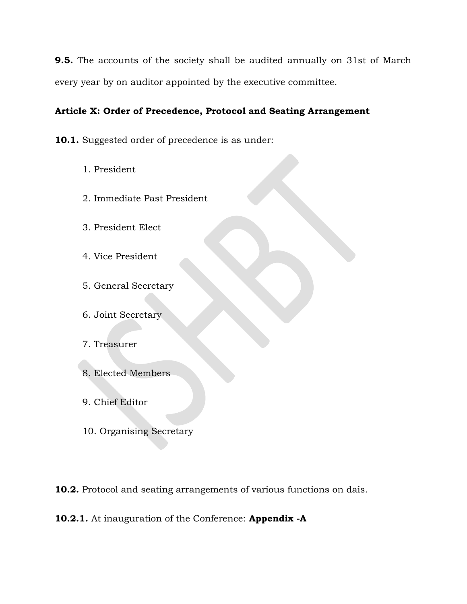9.5. The accounts of the society shall be audited annually on 31st of March every year by on auditor appointed by the executive committee.

# Article X: Order of Precedence, Protocol and Seating Arrangement

10.1. Suggested order of precedence is as under:

- 1. President
- 2. Immediate Past President
- 3. President Elect
- 4. Vice President
- 5. General Secretary
- 6. Joint Secretary
- 7. Treasurer
- 8. Elected Members
- 9. Chief Editor
- 10. Organising Secretary

10.2. Protocol and seating arrangements of various functions on dais.

10.2.1. At inauguration of the Conference: Appendix -A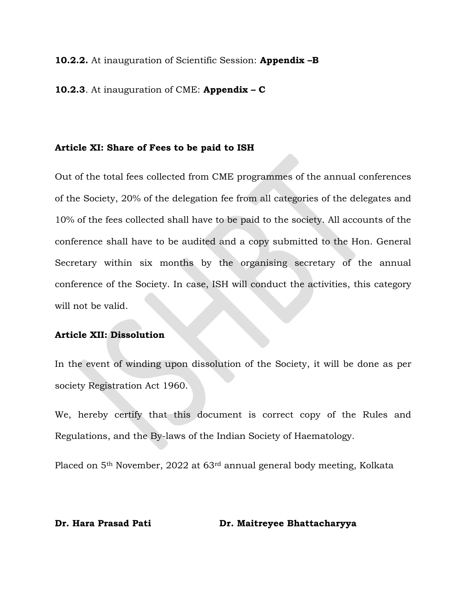#### 10.2.2. At inauguration of Scientific Session: Appendix -B

### 10.2.3. At inauguration of CME: Appendix  $-$  C

#### Article XI: Share of Fees to be paid to ISH

Out of the total fees collected from CME programmes of the annual conferences of the Society, 20% of the delegation fee from all categories of the delegates and 10% of the fees collected shall have to be paid to the society. All accounts of the conference shall have to be audited and a copy submitted to the Hon. General Secretary within six months by the organising secretary of the annual conference of the Society. In case, ISH will conduct the activities, this category will not be valid.

#### Article XII: Dissolution

In the event of winding upon dissolution of the Society, it will be done as per society Registration Act 1960.

We, hereby certify that this document is correct copy of the Rules and Regulations, and the By-laws of the Indian Society of Haematology.

Placed on 5th November, 2022 at 63rd annual general body meeting, Kolkata

#### Dr. Hara Prasad Pati Dr. Maitreyee Bhattacharyya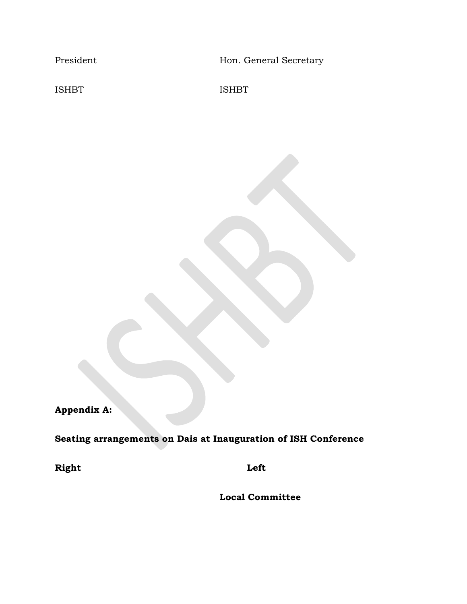President Hon. General Secretary

ISHBT ISHBT

Appendix A:

Seating arrangements on Dais at Inauguration of ISH Conference

Right Left

Local Committee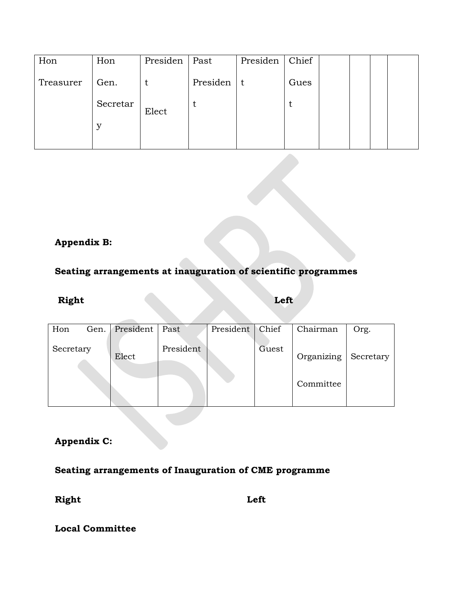| Hon       | Hon      | Presiden | Past     | Presiden | Chief |  |  |
|-----------|----------|----------|----------|----------|-------|--|--|
| Treasurer | Gen.     |          | Presiden | l t      | Gues  |  |  |
|           | Secretar | Elect    |          |          | t     |  |  |
|           | У        |          |          |          |       |  |  |
|           |          |          |          |          |       |  |  |

# Appendix B:

# Seating arrangements at inauguration of scientific programmes

## Right Left Left

| Hon<br>Gen. | President | Past      | President | Chief | Chairman                | Org.      |
|-------------|-----------|-----------|-----------|-------|-------------------------|-----------|
| Secretary   | Elect     | President |           | Guest | Organizing<br>Committee | Secretary |

## Appendix C:

Seating arrangements of Inauguration of CME programme

Right Left

Local Committee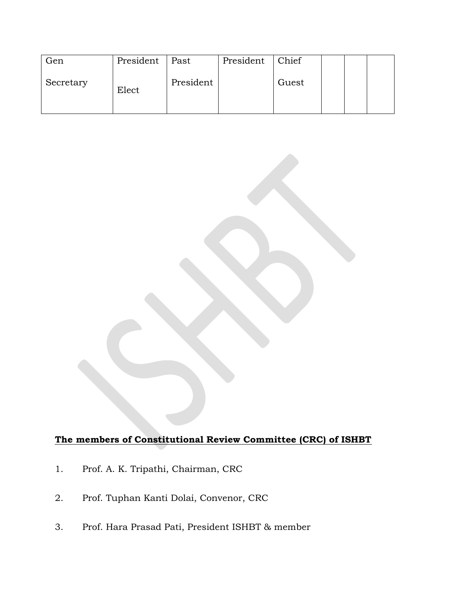| Gen       | President | Past      | President | Chief |  |  |
|-----------|-----------|-----------|-----------|-------|--|--|
| Secretary | Elect     | President |           | Guest |  |  |

# The members of Constitutional Review Committee (CRC) of ISHBT

- 1. Prof. A. K. Tripathi, Chairman, CRC
- 2. Prof. Tuphan Kanti Dolai, Convenor, CRC
- 3. Prof. Hara Prasad Pati, President ISHBT & member